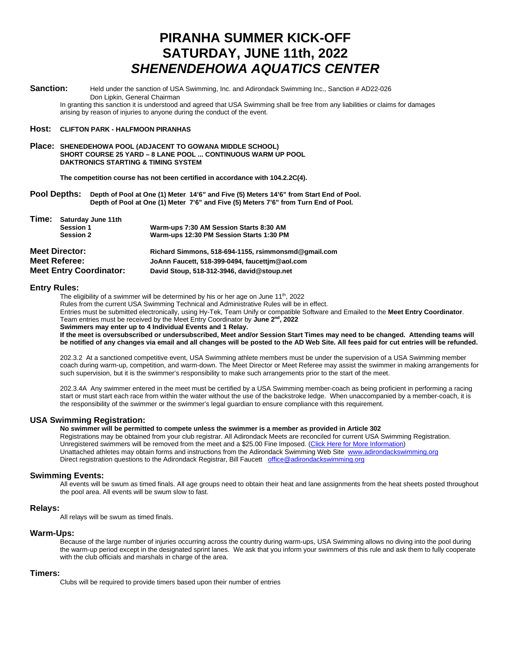# **PIRANHA SUMMER KICK-OFF SATURDAY, JUNE 11th, 2022** *SHENENDEHOWA AQUATICS CENTER*

**Sanction:** Held under the sanction of USA Swimming, Inc. and Adirondack Swimming Inc., Sanction # AD22-026 Don Lipkin, General Chairman

In granting this sanction it is understood and agreed that USA Swimming shall be free from any liabilities or claims for damages arising by reason of injuries to anyone during the conduct of the event.

#### **Host: CLIFTON PARK - HALFMOON PIRANHAS**

**Place: SHENEDEHOWA POOL (ADJACENT TO GOWANA MIDDLE SCHOOL) SHORT COURSE 25 YARD – 8 LANE POOL ... CONTINUOUS WARM UP POOL DAKTRONICS STARTING & TIMING SYSTEM**

**The competition course has not been certified in accordance with 104.2.2C(4).**

**Pool Depths: Depth of Pool at One (1) Meter 14'6" and Five (5) Meters 14'6" from Start End of Pool. Depth of Pool at One (1) Meter 7'6" and Five (5) Meters 7'6" from Turn End of Pool.**

| Time:                          | Saturday June 11th |                                                     |  |  |
|--------------------------------|--------------------|-----------------------------------------------------|--|--|
|                                | Session 1          | Warm-ups 7:30 AM Session Starts 8:30 AM             |  |  |
|                                | <b>Session 2</b>   | Warm-ups 12:30 PM Session Starts 1:30 PM            |  |  |
| <b>Meet Director:</b>          |                    | Richard Simmons, 518-694-1155, rsimmonsmd@gmail.com |  |  |
| <b>Meet Referee:</b>           |                    | JoAnn Faucett, 518-399-0494, faucettim@aol.com      |  |  |
| <b>Meet Entry Coordinator:</b> |                    | David Stoup, 518-312-3946, david@stoup.net          |  |  |

#### **Entry Rules:**

The eligibility of a swimmer will be determined by his or her age on June  $11<sup>th</sup>$ , 2022 Rules from the current USA Swimming Technical and Administrative Rules will be in effect. Entries must be submitted electronically, using Hy-Tek, Team Unify or compatible Software and Emailed to the **Meet Entry Coordinator**. Team entries must be received by the Meet Entry Coordinator by **June 2nd, 2022 Swimmers may enter up to 4 Individual Events and 1 Relay.**

**If the meet is oversubscribed or undersubscribed, Meet and/or Session Start Times may need to be changed. Attending teams will be notified of any changes via email and all changes will be posted to the AD Web Site. All fees paid for cut entries will be refunded.**

202.3.2 At a sanctioned competitive event, USA Swimming athlete members must be under the supervision of a USA Swimming member coach during warm-up, competition, and warm-down. The Meet Director or Meet Referee may assist the swimmer in making arrangements for such supervision, but it is the swimmer's responsibility to make such arrangements prior to the start of the meet.

202.3.4A Any swimmer entered in the meet must be certified by a USA Swimming member-coach as being proficient in performing a racing start or must start each race from within the water without the use of the backstroke ledge. When unaccompanied by a member-coach, it is the responsibility of the swimmer or the swimmer's legal guardian to ensure compliance with this requirement.

## **USA Swimming Registration:**

**No swimmer will be permitted to compete unless the swimmer is a member as provided in Article 302** Registrations may be obtained from your club registrar. All Adirondack Meets are reconciled for current USA Swimming Registration. Unregistered swimmers will be removed from the meet and a \$25.00 Fine Imposed. (Click Here for More Information) Unattached athletes may obtain forms and instructions from the Adirondack Swimming Web Site [www.adirondackswimming.org](http://www.adirondackswimming.org/) Direct registration questions to the Adirondack Registrar, Bill Faucett [office@adirondackswimming.org](mailto:office@adirondackswimming.org)

#### **Swimming Events:**

All events will be swum as timed finals. All age groups need to obtain their heat and lane assignments from the heat sheets posted throughout the pool area. All events will be swum slow to fast.

#### **Relays:**

All relays will be swum as timed finals.

#### **Warm-Ups:**

Because of the large number of injuries occurring across the country during warm-ups, USA Swimming allows no diving into the pool during the warm-up period except in the designated sprint lanes. We ask that you inform your swimmers of this rule and ask them to fully cooperate with the club officials and marshals in charge of the area.

#### **Timers:**

Clubs will be required to provide timers based upon their number of entries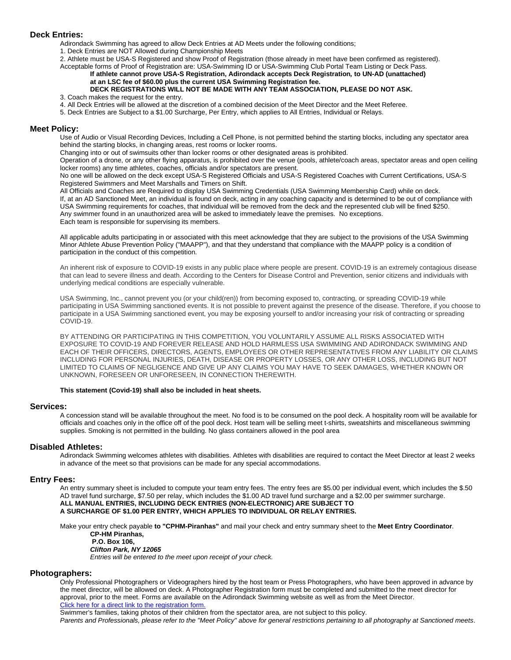# **Deck Entries:**

Adirondack Swimming has agreed to allow Deck Entries at AD Meets under the following conditions;

1. Deck Entries are NOT Allowed during Championship Meets

2. Athlete must be USA-S Registered and show Proof of Registration (those already in meet have been confirmed as registered). Acceptable forms of Proof of Registration are: USA-Swimming ID or USA-Swimming Club Portal Team Listing or Deck Pass.

#### **If athlete cannot prove USA-S Registration, Adirondack accepts Deck Registration***,* **to UN-AD (unattached) at an LSC fee of \$60.00 plus the current USA Swimming Registration fee.**

#### **DECK REGISTRATIONS WILL NOT BE MADE WITH ANY TEAM ASSOCIATION, PLEASE DO NOT ASK.** 3. Coach makes the request for the entry.

- 4. All Deck Entries will be allowed at the discretion of a combined decision of the Meet Director and the Meet Referee.
- 5. Deck Entries are Subject to a \$1.00 Surcharge, Per Entry, which applies to All Entries, Individual or Relays.

#### **Meet Policy:**

Use of Audio or Visual Recording Devices, Including a Cell Phone, is not permitted behind the starting blocks, including any spectator area behind the starting blocks, in changing areas, rest rooms or locker rooms.

Changing into or out of swimsuits other than locker rooms or other designated areas is prohibited.

Operation of a drone, or any other flying apparatus, is prohibited over the venue (pools, athlete/coach areas, spectator areas and open ceiling locker rooms) any time athletes, coaches, officials and/or spectators are present.

No one will be allowed on the deck except USA-S Registered Officials and USA-S Registered Coaches with Current Certifications, USA-S Registered Swimmers and Meet Marshalls and Timers on Shift.

All Officials and Coaches are Required to display USA Swimming Credentials (USA Swimming Membership Card) while on deck. If, at an AD Sanctioned Meet, an individual is found on deck, acting in any coaching capacity and is determined to be out of compliance with USA Swimming requirements for coaches, that individual will be removed from the deck and the represented club will be fined \$250. Any swimmer found in an unauthorized area will be asked to immediately leave the premises. No exceptions. Each team is responsible for supervising its members.

All applicable adults participating in or associated with this meet acknowledge that they are subject to the provisions of the USA Swimming Minor Athlete Abuse Prevention Policy ("MAAPP"), and that they understand that compliance with the MAAPP policy is a condition of participation in the conduct of this competition.

An inherent risk of exposure to COVID-19 exists in any public place where people are present. COVID-19 is an extremely contagious disease that can lead to severe illness and death. According to the Centers for Disease Control and Prevention, senior citizens and individuals with underlying medical conditions are especially vulnerable.

USA Swimming, Inc., cannot prevent you (or your child(ren)) from becoming exposed to, contracting, or spreading COVID-19 while participating in USA Swimming sanctioned events. It is not possible to prevent against the presence of the disease. Therefore, if you choose to participate in a USA Swimming sanctioned event, you may be exposing yourself to and/or increasing your risk of contracting or spreading COVID-19.

BY ATTENDING OR PARTICIPATING IN THIS COMPETITION, YOU VOLUNTARILY ASSUME ALL RISKS ASSOCIATED WITH EXPOSURE TO COVID-19 AND FOREVER RELEASE AND HOLD HARMLESS USA SWIMMING AND ADIRONDACK SWIMMING AND EACH OF THEIR OFFICERS, DIRECTORS, AGENTS, EMPLOYEES OR OTHER REPRESENTATIVES FROM ANY LIABILITY OR CLAIMS INCLUDING FOR PERSONAL INJURIES, DEATH, DISEASE OR PROPERTY LOSSES, OR ANY OTHER LOSS, INCLUDING BUT NOT LIMITED TO CLAIMS OF NEGLIGENCE AND GIVE UP ANY CLAIMS YOU MAY HAVE TO SEEK DAMAGES, WHETHER KNOWN OR UNKNOWN, FORESEEN OR UNFORESEEN, IN CONNECTION THEREWITH.

## **This statement (Covid-19) shall also be included in heat sheets.**

#### **Services:**

A concession stand will be available throughout the meet. No food is to be consumed on the pool deck. A hospitality room will be available for officials and coaches only in the office off of the pool deck. Host team will be selling meet t-shirts, sweatshirts and miscellaneous swimming supplies. Smoking is not permitted in the building. No glass containers allowed in the pool area

# **Disabled Athletes:**

Adirondack Swimming welcomes athletes with disabilities. Athletes with disabilities are required to contact the Meet Director at least 2 weeks in advance of the meet so that provisions can be made for any special accommodations.

#### **Entry Fees:**

An entry summary sheet is included to compute your team entry fees. The entry fees are \$5.00 per individual event, which includes the \$.50 AD travel fund surcharge, \$7.50 per relay, which includes the \$1.00 AD travel fund surcharge and a \$2.00 per swimmer surcharge. **ALL MANUAL ENTRIES, INCLUDING DECK ENTRIES (NON-ELECTRONIC) ARE SUBJECT TO A SURCHARGE OF \$1.00 PER ENTRY, WHICH APPLIES TO INDIVIDUAL OR RELAY ENTRIES.**

Make your entry check payable **to "CPHM-Piranhas"** and mail your check and entry summary sheet to the **Meet Entry Coordinator**.

**CP-HM Piranhas, P.O. Box 106,**

*Clifton Park, NY 12065*

*Entries will be entered to the meet upon receipt of your check.*

### **Photographers:**

Only Professional Photographers or Videographers hired by the host team or Press Photographers, who have been approved in advance by the meet director, will be allowed on deck. A Photographer Registration form must be completed and submitted to the meet director for approval, prior to the meet. Forms are available on the Adirondack Swimming website as well as from the Meet Director. Click here for a direct link to the registration form. Swimmer's families, taking photos of their children from the spectator area, are not subject to this policy.

*Parents and Professionals, please refer to the "Meet Policy" above for general restrictions pertaining to all photography at Sanctioned meets*.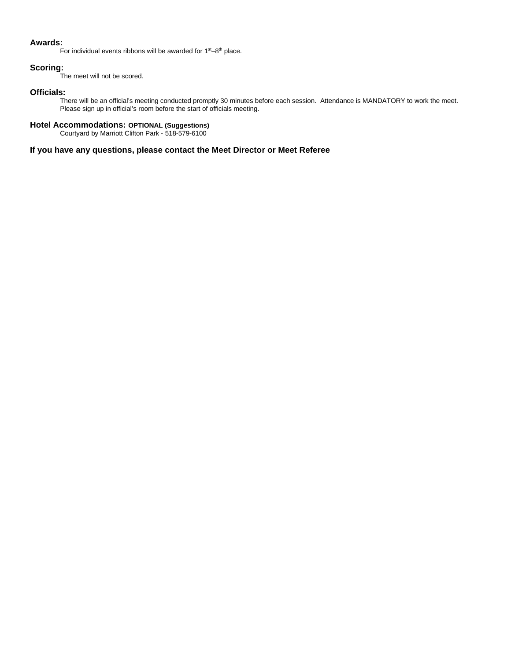# **Awards:**

For individual events ribbons will be awarded for  $1<sup>st</sup>-8<sup>th</sup>$  place.

# **Scoring:**

The meet will not be scored.

# **Officials:**

There will be an official's meeting conducted promptly 30 minutes before each session. Attendance is MANDATORY to work the meet. Please sign up in official's room before the start of officials meeting.

### **Hotel Accommodations: OPTIONAL (Suggestions)**

Courtyard by Marriott Clifton Park - 518-579-6100

# **If you have any questions, please contact the Meet Director or Meet Referee**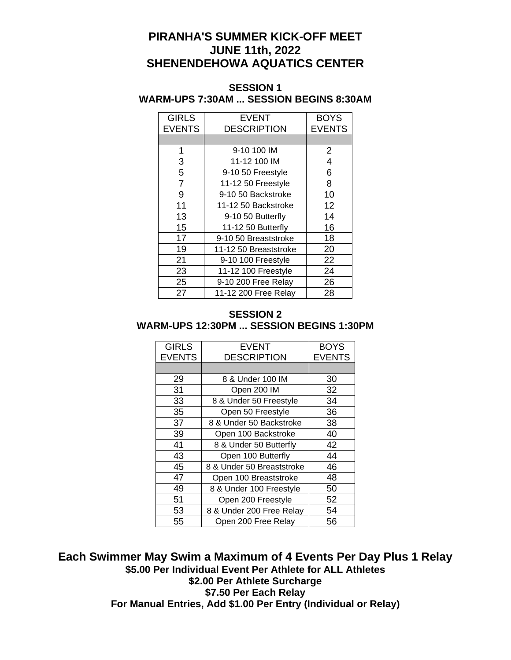# **PIRANHA'S SUMMER KICK-OFF MEET JUNE 11th, 2022 SHENENDEHOWA AQUATICS CENTER**

# **SESSION 1 WARM-UPS 7:30AM ... SESSION BEGINS 8:30AM**

| <b>GIRLS</b><br><b>EVENTS</b> | <b>EVENT</b><br><b>DESCRIPTION</b> | <b>BOYS</b><br><b>EVENTS</b> |
|-------------------------------|------------------------------------|------------------------------|
|                               |                                    |                              |
| 1                             | 9-10 100 IM                        | $\overline{2}$               |
| 3                             | 11-12 100 IM                       | 4                            |
| 5                             | 9-10 50 Freestyle                  | 6                            |
| 7                             | 11-12 50 Freestyle                 | 8                            |
| 9                             | 9-10 50 Backstroke                 | 10                           |
| 11                            | 11-12 50 Backstroke                | 12                           |
| 13                            | 9-10 50 Butterfly                  | 14                           |
| 15                            | 11-12 50 Butterfly                 | 16                           |
| 17                            | 9-10 50 Breaststroke               | 18                           |
| 19                            | 11-12 50 Breaststroke              | 20                           |
| 21                            | 9-10 100 Freestyle                 | 22                           |
| 23                            | 11-12 100 Freestyle                | 24                           |
| 25                            | 9-10 200 Free Relay                | 26                           |
| 27                            | 11-12 200 Free Relay               | 28                           |

# **SESSION 2 WARM-UPS 12:30PM ... SESSION BEGINS 1:30PM**

| <b>GIRLS</b><br><b>EVENTS</b> | <b>EVENT</b><br><b>DESCRIPTION</b> | <b>BOYS</b><br><b>EVENTS</b> |
|-------------------------------|------------------------------------|------------------------------|
|                               |                                    |                              |
| 29                            | 8 & Under 100 IM                   | 30                           |
| 31                            | Open 200 IM                        | 32                           |
| 33                            | 8 & Under 50 Freestyle             | 34                           |
| 35                            | Open 50 Freestyle                  | 36                           |
| 37                            | 8 & Under 50 Backstroke            | 38                           |
| 39                            | Open 100 Backstroke                | 40                           |
| 41                            | 8 & Under 50 Butterfly             | 42                           |
| 43                            | Open 100 Butterfly                 | 44                           |
| 45                            | 8 & Under 50 Breaststroke          | 46                           |
| 47                            | Open 100 Breaststroke              | 48                           |
| 49                            | 8 & Under 100 Freestyle            | 50                           |
| 51                            | Open 200 Freestyle                 | 52                           |
| 53                            | 8 & Under 200 Free Relay           | 54                           |
| 55                            | Open 200 Free Relay                | 56                           |

**Each Swimmer May Swim a Maximum of 4 Events Per Day Plus 1 Relay \$5.00 Per Individual Event Per Athlete for ALL Athletes \$2.00 Per Athlete Surcharge \$7.50 Per Each Relay For Manual Entries, Add \$1.00 Per Entry (Individual or Relay)**